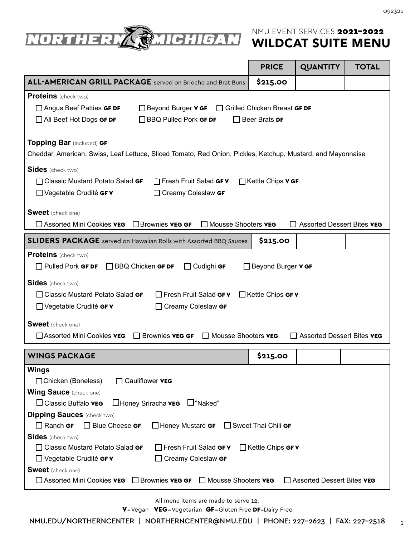

|                                                                                                                                                                                                | <b>PRICE</b>                   | <b>QUANTITY</b>                          | <b>TOTAL</b> |
|------------------------------------------------------------------------------------------------------------------------------------------------------------------------------------------------|--------------------------------|------------------------------------------|--------------|
| <b>ALL-AMERICAN GRILL PACKAGE</b> served on Brioche and Brat Buns                                                                                                                              | \$215.00                       |                                          |              |
| <b>Proteins</b> (check two)                                                                                                                                                                    |                                |                                          |              |
| $\Box$ Angus Beef Patties GF DF<br>□ Beyond Burger <b>v GF</b> □ Grilled Chicken Breast GF DF                                                                                                  |                                |                                          |              |
| $\Box$ BBQ Pulled Pork GF DF<br>$\Box$ All Beef Hot Dogs GF DF                                                                                                                                 | $\Box$ Beer Brats <b>DF</b>    |                                          |              |
| <b>Topping Bar</b> (included) GF<br>Cheddar, American, Swiss, Leaf Lettuce, Sliced Tomato, Red Onion, Pickles, Ketchup, Mustard, and Mayonnaise                                                |                                |                                          |              |
| <b>Sides</b> (check two)                                                                                                                                                                       |                                |                                          |              |
| □ Fresh Fruit Salad GF V<br>□ Classic Mustard Potato Salad GF                                                                                                                                  | □Kettle Chips v GF             |                                          |              |
| $\Box$ Vegetable Crudité GF V<br>$\Box$ Creamy Coleslaw GF                                                                                                                                     |                                |                                          |              |
| <b>Sweet</b> (check one)                                                                                                                                                                       |                                |                                          |              |
| $\Box$ Brownies <b>VEG GF</b><br>$\Box$ Mousse Shooters <b>VEG</b><br>Assorted Mini Cookies <b>VEG</b>                                                                                         |                                | $\Box$ Assorted Dessert Bites <b>VEG</b> |              |
| <b>SLIDERS PACKAGE</b> served on Hawaiian Rolls with Assorted BBQ Sauces                                                                                                                       | \$215.00                       |                                          |              |
| <b>Proteins</b> (check two)                                                                                                                                                                    |                                |                                          |              |
| $\Box$ Cudighi GF<br>$\Box$ Pulled Pork GF DF<br>$\Box$ BBQ Chicken GF DF                                                                                                                      | $\Box$ Beyond Burger $\vee$ GF |                                          |              |
| <b>Sides</b> (check two)<br>$\Box$ Fresh Fruit Salad GF V<br>$\Box$ Classic Mustard Potato Salad GF<br>$\Box$ Vegetable Crudité GF V<br>$\Box$ Creamy Coleslaw GF                              | $\Box$ Kettle Chips GF V       |                                          |              |
| <b>Sweet</b> (check one)                                                                                                                                                                       |                                |                                          |              |
| $\Box$ Mousse Shooters <b>VEG</b><br>□ Assorted Mini Cookies VEG<br>$\Box$ Brownies <b>VEG GF</b>                                                                                              |                                | $\Box$ Assorted Dessert Bites <b>VEG</b> |              |
| <b>WINGS PACKAGE</b>                                                                                                                                                                           | \$215.00                       |                                          |              |
| <b>Wings</b><br>$\Box$ Cauliflower <b>VEG</b><br>□ Chicken (Boneless)<br><b>Wing Sauce</b> (check one)<br>$\Box$ Classic Buffalo <b>VEG</b><br>$\Box$ Honey Sriracha <b>vEG</b> $\Box$ "Naked" |                                |                                          |              |
| <b>Dipping Sauces</b> (check two)                                                                                                                                                              |                                |                                          |              |
| $\Box$ Ranch GF<br>$\Box$ Blue Cheese GF<br>$\Box$ Honey Mustard GF                                                                                                                            | $\Box$ Sweet Thai Chili GF     |                                          |              |
| <b>Sides</b> (check two)<br>$\Box$ Classic Mustard Potato Salad GF<br>Fresh Fruit Salad GF V<br>$\Box$ Vegetable Crudité GF V<br>$\Box$ Creamy Coleslaw GF                                     | $\Box$ Kettle Chips GF V       |                                          |              |
| <b>Sweet</b> (check one)<br>$\Box$ Assorted Mini Cookies <b>VEG</b> $\Box$ Brownies <b>VEG GF</b> $\Box$ Mousse Shooters <b>VEG</b>                                                            |                                | $\Box$ Assorted Dessert Bites <b>VEG</b> |              |

All menu items are made to serve 12.

V=Vegan VEG=Vegetarian GF=Gluten Free DF=Dairy Free

1 NMU.EDU/NORTHERNCENTER | NORTHERNCENTER@NMU.EDU | PHONE: 227-2623 | FAX: 227-2518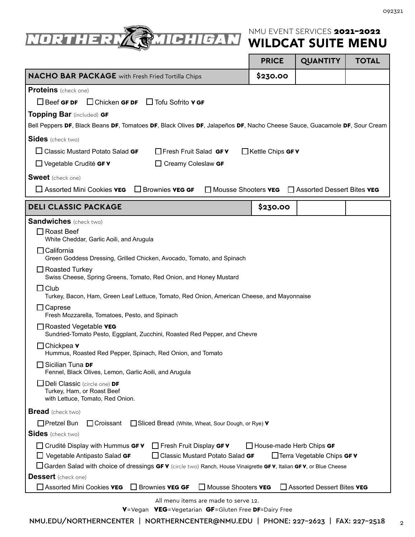

|                                                                                                                           | <b>PRICE</b>             | <b>QUANTITY</b>                                                  | <b>TOTAL</b> |
|---------------------------------------------------------------------------------------------------------------------------|--------------------------|------------------------------------------------------------------|--------------|
| <b>NACHO BAR PACKAGE</b> with Fresh Fried Tortilla Chips                                                                  | \$230.00                 |                                                                  |              |
| Proteins (check one)                                                                                                      |                          |                                                                  |              |
| $\Box$ Chicken GF DF $\Box$ Tofu Sofrito V GF<br>$\Box$ Beef GF DF                                                        |                          |                                                                  |              |
| Topping Bar (included) GF                                                                                                 |                          |                                                                  |              |
| Bell Peppers DF, Black Beans DF, Tomatoes DF, Black Olives DF, Jalapeños DF, Nacho Cheese Sauce, Guacamole DF, Sour Cream |                          |                                                                  |              |
| <b>Sides</b> (check two)                                                                                                  |                          |                                                                  |              |
| $\Box$ Classic Mustard Potato Salad GF<br>$\Box$ Fresh Fruit Salad GF V                                                   | $\Box$ Kettle Chips GF V |                                                                  |              |
| $\Box$ Vegetable Crudité GF V<br>$\Box$ Creamy Coleslaw GF                                                                |                          |                                                                  |              |
| <b>Sweet</b> (check one)                                                                                                  |                          |                                                                  |              |
| $\Box$ Assorted Mini Cookies <b>VEG</b><br>$\Box$ Brownies <b>VEG GF</b>                                                  |                          | □ Mousse Shooters <b>VEG</b> □ Assorted Dessert Bites <b>VEG</b> |              |
| <b>DELI CLASSIC PACKAGE</b>                                                                                               | \$230.00                 |                                                                  |              |
| <b>Sandwiches</b> (check two)                                                                                             |                          |                                                                  |              |
| $\Box$ Roast Beef<br>White Cheddar, Garlic Aoili, and Arugula                                                             |                          |                                                                  |              |
| $\Box$ California<br>Green Goddess Dressing, Grilled Chicken, Avocado, Tomato, and Spinach                                |                          |                                                                  |              |
| $\Box$ Roasted Turkey<br>Swiss Cheese, Spring Greens, Tomato, Red Onion, and Honey Mustard                                |                          |                                                                  |              |
| $\Box$ Club<br>Turkey, Bacon, Ham, Green Leaf Lettuce, Tomato, Red Onion, American Cheese, and Mayonnaise                 |                          |                                                                  |              |
| $\Box$ Caprese<br>Fresh Mozzarella, Tomatoes, Pesto, and Spinach                                                          |                          |                                                                  |              |
| $\Box$ Roasted Vegetable <b>VEG</b><br>Sundried-Tomato Pesto, Eggplant, Zucchini, Roasted Red Pepper, and Chevre          |                          |                                                                  |              |
| $\Box$ Chickpea v<br>Hummus, Roasted Red Pepper, Spinach, Red Onion, and Tomato                                           |                          |                                                                  |              |
| $\square$ Sicilian Tuna <b>DF</b><br>Fennel, Black Olives, Lemon, Garlic Aoili, and Arugula                               |                          |                                                                  |              |
| Deli Classic (circle one) DF<br>Turkey, Ham, or Roast Beef<br>with Lettuce, Tomato, Red Onion.                            |                          |                                                                  |              |
| <b>Bread</b> (check two)                                                                                                  |                          |                                                                  |              |
| $\Box$ Pretzel Bun<br>$\Box$ Croissant<br>Sliced Bread (White, Wheat, Sour Dough, or Rye) V                               |                          |                                                                  |              |
| <b>Sides</b> (check two)                                                                                                  |                          |                                                                  |              |
| $\Box$ Crudité Display with Hummus GF V<br>$\Box$ Fresh Fruit Display GF V                                                | House-made Herb Chips GF |                                                                  |              |
| $\Box$ Classic Mustard Potato Salad GF<br>$\Box$ Vegetable Antipasto Salad GF                                             |                          | □ Terra Vegetable Chips GF V                                     |              |
| □ Garden Salad with choice of dressings GF V (circle two) Ranch, House Vinaigrette GF V, Italian GF V, or Blue Cheese     |                          |                                                                  |              |
| <b>Dessert</b> (check one)<br>Assorted Mini Cookies VEG<br><b>Brownies VEG GF</b><br>Mousse Shooters VEG                  |                          | Assorted Dessert Bites VEG                                       |              |
| All menu items are made to serve 12.                                                                                      |                          |                                                                  |              |

V=Vegan VEG=Vegetarian GF=Gluten Free DF=Dairy Free

2 NMU.EDU/NORTHERNCENTER | NORTHERNCENTER@NMU.EDU | PHONE: 227-2623 | FAX: 227-2518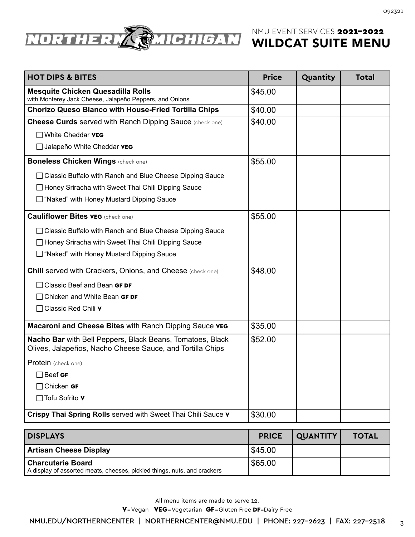

| <b>HOT DIPS &amp; BITES</b>                                                                                            | <b>Price</b> | Quantity | <b>Total</b> |
|------------------------------------------------------------------------------------------------------------------------|--------------|----------|--------------|
| <b>Mesquite Chicken Quesadilla Rolls</b><br>with Monterey Jack Cheese, Jalapeño Peppers, and Onions                    | \$45.00      |          |              |
| <b>Chorizo Queso Blanco with House-Fried Tortilla Chips</b>                                                            | \$40.00      |          |              |
| <b>Cheese Curds served with Ranch Dipping Sauce (check one)</b>                                                        | \$40.00      |          |              |
| $\Box$ White Cheddar <b>VEG</b>                                                                                        |              |          |              |
| Jalapeño White Cheddar <b>VEG</b>                                                                                      |              |          |              |
| <b>Boneless Chicken Wings (check one)</b>                                                                              | \$55.00      |          |              |
| □ Classic Buffalo with Ranch and Blue Cheese Dipping Sauce                                                             |              |          |              |
| □ Honey Sriracha with Sweet Thai Chili Dipping Sauce                                                                   |              |          |              |
| □ "Naked" with Honey Mustard Dipping Sauce                                                                             |              |          |              |
| <b>Cauliflower Bites vEG</b> (check one)                                                                               | \$55.00      |          |              |
| □ Classic Buffalo with Ranch and Blue Cheese Dipping Sauce                                                             |              |          |              |
| Honey Sriracha with Sweet Thai Chili Dipping Sauce                                                                     |              |          |              |
| □ "Naked" with Honey Mustard Dipping Sauce                                                                             |              |          |              |
| <b>Chili served with Crackers, Onions, and Cheese</b> (check one)                                                      | \$48.00      |          |              |
| $\Box$ Classic Beef and Bean GF DF                                                                                     |              |          |              |
| $\Box$ Chicken and White Bean GF DF                                                                                    |              |          |              |
| □ Classic Red Chili v                                                                                                  |              |          |              |
| Macaroni and Cheese Bites with Ranch Dipping Sauce vEG                                                                 | \$35.00      |          |              |
| Nacho Bar with Bell Peppers, Black Beans, Tomatoes, Black<br>Olives, Jalapeños, Nacho Cheese Sauce, and Tortilla Chips | \$52.00      |          |              |
| Protein (check one)                                                                                                    |              |          |              |
| $\Box$ Beef GF                                                                                                         |              |          |              |
| $\Box$ Chicken GF                                                                                                      |              |          |              |
| $\Box$ Tofu Sofrito $\mathbf v$                                                                                        |              |          |              |
| Crispy Thai Spring Rolls served with Sweet Thai Chili Sauce v                                                          | \$30.00      |          |              |

| <b>DISPLAYS</b>                                                                               | <b>PRICE</b> | QUANTITY | <b>TOTAL</b> |
|-----------------------------------------------------------------------------------------------|--------------|----------|--------------|
| Artisan Cheese Display                                                                        | 545.00       |          |              |
| Charcuterie Board<br>A display of assorted meats, cheeses, pickled things, nuts, and crackers | $ $ \$65.00  |          |              |

All menu items are made to serve 12.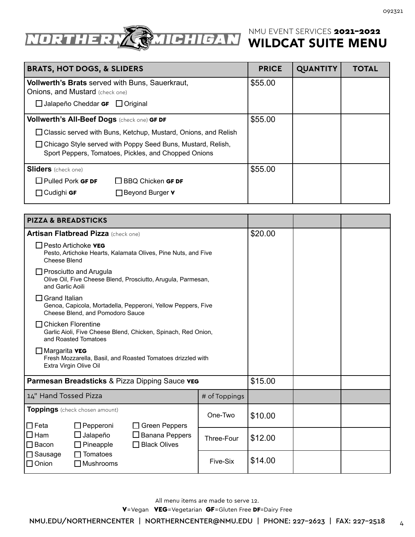

| <b>BRATS, HOT DOGS, &amp; SLIDERS</b>                                                                                 | <b>PRICE</b> | <b>QUANTITY</b> | <b>TOTAL</b> |
|-----------------------------------------------------------------------------------------------------------------------|--------------|-----------------|--------------|
| <b>Vollwerth's Brats</b> served with Buns, Sauerkraut,<br><b>Onions, and Mustard</b> (check one)                      | \$55.00      |                 |              |
| $\Box$ Jalapeño Cheddar GF $\Box$ Original                                                                            |              |                 |              |
| Vollwerth's All-Beef Dogs (check one) GF DF                                                                           | \$55.00      |                 |              |
| $\Box$ Classic served with Buns, Ketchup, Mustard, Onions, and Relish                                                 |              |                 |              |
| □ Chicago Style served with Poppy Seed Buns, Mustard, Relish,<br>Sport Peppers, Tomatoes, Pickles, and Chopped Onions |              |                 |              |
| <b>Sliders</b> (check one)                                                                                            | \$55.00      |                 |              |
| $\Box$ Pulled Pork GF DF<br>$\Box$ BBQ Chicken GF DF                                                                  |              |                 |              |
| $\Box$ Cudighi GF<br>$\Box$ Beyond Burger $\mathbf v$                                                                 |              |                 |              |

| <b>PIZZA &amp; BREADSTICKS</b>                                                                                           |               |         |  |
|--------------------------------------------------------------------------------------------------------------------------|---------------|---------|--|
| <b>Artisan Flatbread Pizza (check one)</b>                                                                               |               | \$20.00 |  |
| $\Box$ Pesto Artichoke <b>VEG</b><br>Pesto, Artichoke Hearts, Kalamata Olives, Pine Nuts, and Five<br>Cheese Blend       |               |         |  |
| $\Box$ Prosciutto and Arugula<br>Olive Oil, Five Cheese Blend, Prosciutto, Arugula, Parmesan,<br>and Garlic Aoili        |               |         |  |
| <b>Grand Italian</b><br>Genoa, Capicola, Mortadella, Pepperoni, Yellow Peppers, Five<br>Cheese Blend, and Pomodoro Sauce |               |         |  |
| $\Box$ Chicken Florentine<br>Garlic Aioli, Five Cheese Blend, Chicken, Spinach, Red Onion,<br>and Roasted Tomatoes       |               |         |  |
| $\Box$ Margarita <b>VEG</b><br>Fresh Mozzarella, Basil, and Roasted Tomatoes drizzled with<br>Extra Virgin Olive Oil     |               |         |  |
| Parmesan Breadsticks & Pizza Dipping Sauce vEG                                                                           |               | \$15.00 |  |
| 14" Hand Tossed Pizza                                                                                                    | # of Toppings |         |  |
| Toppings (check chosen amount)<br>$\Box$ Feta<br>$\Box$ Pepperoni<br>$\Box$ Green Peppers                                | One-Two       | \$10.00 |  |
| $\Box$ Ham<br>$\Box$ Jalapeño<br>$\Box$ Banana Peppers<br>$\Box$ Bacon<br>$\Box$ Black Olives<br>$\Box$ Pineapple        | Three-Four    | \$12.00 |  |
| $\Box$ Sausage<br>$\Box$ Tomatoes<br>$\Box$ Onion<br>$\Box$ Mushrooms                                                    | Five-Six      | \$14.00 |  |

All menu items are made to serve 12.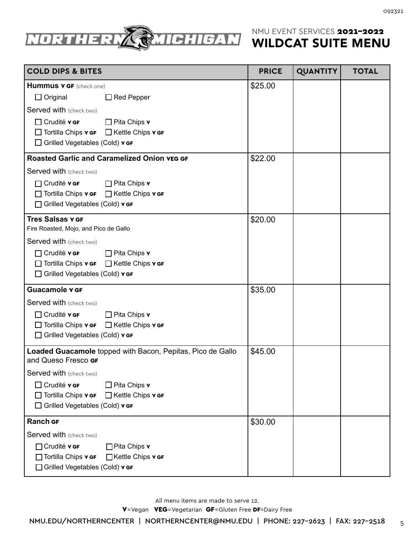

| <b>COLD DIPS &amp; BITES</b>                                                                                                                                                                      | <b>PRICE</b> | <b>QUANTITY</b> | <b>TOTAL</b> |
|---------------------------------------------------------------------------------------------------------------------------------------------------------------------------------------------------|--------------|-----------------|--------------|
| <b>Hummus v GF</b> (check one)<br>$\Box$ Original<br>$\Box$ Red Pepper                                                                                                                            | \$25.00      |                 |              |
| Served with (check two)                                                                                                                                                                           |              |                 |              |
| $\Box$ Crudité v GF<br>$\Box$ Pita Chips v<br>$\Box$ Tortilla Chips <b>v GF</b> $\Box$ Kettle Chips <b>v GF</b><br>$\Box$ Grilled Vegetables (Cold) $\mathbf{v}$ GF                               |              |                 |              |
| <b>Roasted Garlic and Caramelized Onion vEG GF</b>                                                                                                                                                | \$22.00      |                 |              |
| Served with (check two)<br>$\Box$ Crudité v GF<br>$\Box$ Pita Chips v<br>□ Tortilla Chips v GF □ Kettle Chips v GF                                                                                |              |                 |              |
| □ Grilled Vegetables (Cold) v GF                                                                                                                                                                  |              |                 |              |
| <b>Tres Salsas v GF</b><br>Fire Roasted, Mojo, and Pico de Gallo                                                                                                                                  | \$20.00      |                 |              |
| Served with (check two)                                                                                                                                                                           |              |                 |              |
| $\Box$ Crudité v GF<br>$\Box$ Pita Chips v<br>$\Box$ Tortilla Chips $\mathbf{v}$ GF $\Box$ Kettle Chips $\mathbf{v}$ GF<br>□ Grilled Vegetables (Cold) v GF                                       |              |                 |              |
| <b>Guacamole v GF</b>                                                                                                                                                                             | \$35.00      |                 |              |
| Served with (check two)<br>$\Box$ Crudité v GF<br>$\Box$ Pita Chips v<br>$\Box$ Tortilla Chips <b>v</b> GF<br>□ Kettle Chips v GF<br>$\Box$ Grilled Vegetables (Cold) $\mathbf{v}$ GF             |              |                 |              |
| Loaded Guacamole topped with Bacon, Pepitas, Pico de Gallo<br>and Queso Fresco GF                                                                                                                 | \$45.00      |                 |              |
| Served with (check two)<br>$\Box$ Crudité v GF<br>$\Box$ Pita Chips v<br>$\Box$ Tortilla Chips <b>v</b> GF<br>$\Box$ Kettle Chips <b>v</b> GF<br>$\Box$ Grilled Vegetables (Cold) $\mathbf{v}$ GF |              |                 |              |
| <b>Ranch GF</b>                                                                                                                                                                                   | \$30.00      |                 |              |
| Served with (check two)<br>$\Box$ Crudité v GF<br>$\Box$ Pita Chips v<br>□ Tortilla Chips v GF<br>$\Box$ Kettle Chips $\mathbf{v}$ GF<br>□ Grilled Vegetables (Cold) v GF                         |              |                 |              |

All menu items are made to serve 12.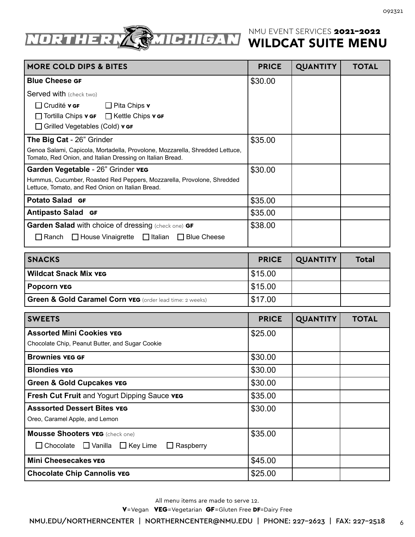

| <b>MORE COLD DIPS &amp; BITES</b>                                                                                                         | <b>PRICE</b> | <b>QUANTITY</b> | <b>TOTAL</b> |
|-------------------------------------------------------------------------------------------------------------------------------------------|--------------|-----------------|--------------|
| <b>Blue Cheese GF</b>                                                                                                                     | \$30.00      |                 |              |
| <b>Served with (check two)</b>                                                                                                            |              |                 |              |
| $\Box$ Crudité <b>v GF</b> $\Box$ Pita Chips <b>v</b>                                                                                     |              |                 |              |
| $\Box$ Tortilla Chips <b>v</b> GF $\Box$ Kettle Chips <b>v</b> GF                                                                         |              |                 |              |
| $\Box$ Grilled Vegetables (Cold) $\mathbf{v}$ GF                                                                                          |              |                 |              |
| The Big Cat - 26" Grinder                                                                                                                 | \$35.00      |                 |              |
| Genoa Salami, Capicola, Mortadella, Provolone, Mozzarella, Shredded Lettuce,<br>Tomato, Red Onion, and Italian Dressing on Italian Bread. |              |                 |              |
| Garden Vegetable - 26" Grinder veg                                                                                                        | \$30.00      |                 |              |
| Hummus, Cucumber, Roasted Red Peppers, Mozzarella, Provolone, Shredded<br>Lettuce, Tomato, and Red Onion on Italian Bread.                |              |                 |              |
| <b>Potato Salad GF</b>                                                                                                                    | \$35.00      |                 |              |
| <b>Antipasto Salad GF</b>                                                                                                                 | \$35.00      |                 |              |
| <b>Garden Salad with choice of dressing (check one) GF</b>                                                                                | \$38.00      |                 |              |
| $\Box$ Ranch $\Box$ House Vinaigrette $\Box$ Italian $\Box$ Blue Cheese                                                                   |              |                 |              |

| <b>SNACKS</b>                                            | <b>PRICE</b> | QUANTITY | <b>Total</b> |
|----------------------------------------------------------|--------------|----------|--------------|
| Wildcat Snack Mix veg                                    | \$15.00      |          |              |
| Popcorn veg                                              | 515.00       |          |              |
| Green & Gold Caramel Corn vEG (order lead time: 2 weeks) | \$17.00      |          |              |

| <b>SWEETS</b>                                                    | <b>PRICE</b> | <b>QUANTITY</b> | <b>TOTAL</b> |
|------------------------------------------------------------------|--------------|-----------------|--------------|
| <b>Assorted Mini Cookies vEG</b>                                 | \$25.00      |                 |              |
| Chocolate Chip, Peanut Butter, and Sugar Cookie                  |              |                 |              |
| <b>Brownies veg GF</b>                                           | \$30.00      |                 |              |
| <b>Blondies VEG</b>                                              | \$30.00      |                 |              |
| <b>Green &amp; Gold Cupcakes vEG</b>                             | \$30.00      |                 |              |
| <b>Fresh Cut Fruit and Yogurt Dipping Sauce vEG</b>              | \$35.00      |                 |              |
| <b>Asssorted Dessert Bites vEG</b>                               | \$30.00      |                 |              |
| Oreo, Caramel Apple, and Lemon                                   |              |                 |              |
| <b>Mousse Shooters vEG</b> (check one)                           | \$35.00      |                 |              |
| $\Box$ Chocolate $\Box$ Vanilla $\Box$ Key Lime $\Box$ Raspberry |              |                 |              |
| <b>Mini Cheesecakes vEG</b>                                      | \$45.00      |                 |              |
| <b>Chocolate Chip Cannolis VEG</b>                               | \$25.00      |                 |              |

All menu items are made to serve 12.